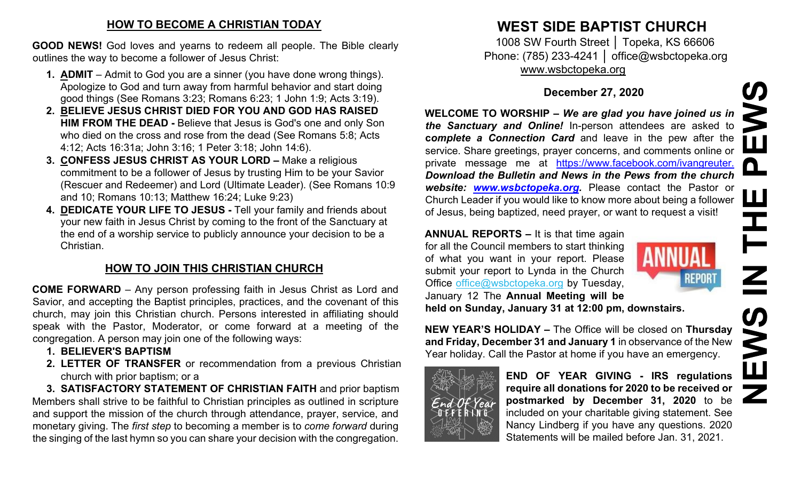#### **HOW TO BECOME A CHRISTIAN TODAY**

**GOOD NEWS!** God loves and yearns to redeem all people. The Bible clearly outlines the way to become a follower of Jesus Christ:

- **1. ADMIT**  Admit to God you are a sinner (you have done wrong things). Apologize to God and turn away from harmful behavior and start doing good things (See Romans 3:23; Romans 6:23; 1 John 1:9; Acts 3:19).
- **2. BELIEVE JESUS CHRIST DIED FOR YOU AND GOD HAS RAISED HIM FROM THE DEAD -** Believe that Jesus is God's one and only Son who died on the cross and rose from the dead (See Romans 5:8; Acts 4:12; Acts 16:31a; John 3:16; 1 Peter 3:18; John 14:6).
- **3. CONFESS JESUS CHRIST AS YOUR LORD –** Make a religious commitment to be a follower of Jesus by trusting Him to be your Savior (Rescuer and Redeemer) and Lord (Ultimate Leader). (See Romans 10:9 and 10; Romans 10:13; Matthew 16:24; Luke 9:23)
- **4. DEDICATE YOUR LIFE TO JESUS -** Tell your family and friends about your new faith in Jesus Christ by coming to the front of the Sanctuary at the end of a worship service to publicly announce your decision to be a Christian.

# **HOW TO JOIN THIS CHRISTIAN CHURCH**

**COME FORWARD** – Any person professing faith in Jesus Christ as Lord and Savior, and accepting the Baptist principles, practices, and the covenant of this church, may join this Christian church. Persons interested in affiliating should speak with the Pastor, Moderator, or come forward at a meeting of the congregation. A person may join one of the following ways:

- **1. BELIEVER'S BAPTISM**
- **2. LETTER OF TRANSFER** or recommendation from a previous Christian church with prior baptism; or a

**3. SATISFACTORY STATEMENT OF CHRISTIAN FAITH** and prior baptism Members shall strive to be faithful to Christian principles as outlined in scripture and support the mission of the church through attendance, prayer, service, and monetary giving. The *first step* to becoming a member is to *come forward* during the singing of the last hymn so you can share your decision with the congregation.

# **WEST SIDE BAPTIST CHURCH**

1008 SW Fourth Street │ Topeka, KS 66606 Phone: (785) 233-4241 │ office@wsbctopeka.org [www.wsbctopeka.org](http://www.wsbctopeka.org/)

## **December 27, 2020**

**WELCOME TO WORSHIP –** *We are glad you have joined us in the Sanctuary and Online!* In-person attendees are asked to **c***omplete a Connection Card* and leave in the pew after the service. Share greetings, prayer concerns, and comments online or private message me at <https://www.facebook.com/ivangreuter.> *Download the Bulletin and News in the Pews from the church website: [www.wsbctopeka.org.](http://www.wsbctopeka.org/)* Please contact the Pastor or Church Leader if you would like to know more about being a follower of Jesus, being baptized, need prayer, or want to request a visit!

**ANNUAL REPORTS –** It is that time again for all the Council members to start thinking of what you want in your report. Please submit your report to Lynda in the Church Office office@wsbctopeka.org by Tuesday, January 12 The **Annual Meeting will be held on Sunday, January 31 at 12:00 pm, downstairs.** 



**NEW YEAR'S HOLIDAY –** The Office will be closed on **Thursday and Friday, December 31 and January 1** in observance of the New Year holiday. Call the Pastor at home if you have an emergency.



**END OF YEAR GIVING - IRS regulations require all donations for 2020 to be received or postmarked by December 31, 2020** to be included on your charitable giving statement. See Nancy Lindberg if you have any questions. 2020 Statements will be mailed before Jan. 31, 2021.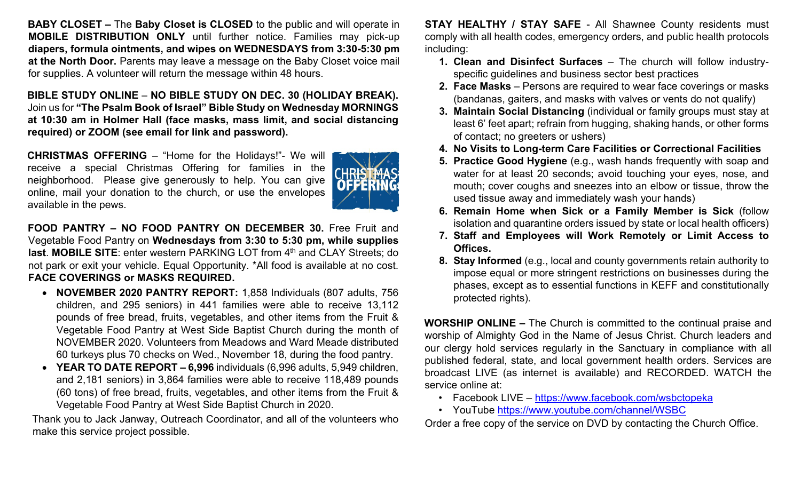**BABY CLOSET –** The **Baby Closet is CLOSED** to the public and will operate in **MOBILE DISTRIBUTION ONLY** until further notice. Families may pick-up **diapers, formula ointments, and wipes on WEDNESDAYS from 3:30-5:30 pm at the North Door.** Parents may leave a message on the Baby Closet voice mail for supplies. A volunteer will return the message within 48 hours.

**BIBLE STUDY ONLINE** – **NO BIBLE STUDY ON DEC. 30 (HOLIDAY BREAK).**  Join us for **"The Psalm Book of Israel" Bible Study on Wednesday MORNINGS at 10:30 am in Holmer Hall (face masks, mass limit, and social distancing required) or ZOOM (see email for link and password).** 

**CHRISTMAS OFFERING** – "Home for the Holidays!"- We will receive a special Christmas Offering for families in the neighborhood. Please give generously to help. You can give online, mail your donation to the church, or use the envelopes available in the pews.



**FOOD PANTRY – NO FOOD PANTRY ON DECEMBER 30.** Free Fruit and Vegetable Food Pantry on **Wednesdays from 3:30 to 5:30 pm, while supplies last. MOBILE SITE:** enter western PARKING LOT from 4<sup>th</sup> and CLAY Streets: do not park or exit your vehicle. Equal Opportunity. \*All food is available at no cost. **FACE COVERINGS or MASKS REQUIRED.**

- **NOVEMBER 2020 PANTRY REPORT:** 1,858 Individuals (807 adults, 756 children, and 295 seniors) in 441 families were able to receive 13,112 pounds of free bread, fruits, vegetables, and other items from the Fruit & Vegetable Food Pantry at West Side Baptist Church during the month of NOVEMBER 2020. Volunteers from Meadows and Ward Meade distributed 60 turkeys plus 70 checks on Wed., November 18, during the food pantry.
- **YEAR TO DATE REPORT – 6,996** individuals (6,996 adults, 5,949 children, and 2,181 seniors) in 3,864 families were able to receive 118,489 pounds (60 tons) of free bread, fruits, vegetables, and other items from the Fruit & Vegetable Food Pantry at West Side Baptist Church in 2020.

Thank you to Jack Janway, Outreach Coordinator, and all of the volunteers who make this service project possible.

**STAY HEALTHY / STAY SAFE** - All Shawnee County residents must comply with all health codes, emergency orders, and public health protocols including:

- **1. Clean and Disinfect Surfaces** The church will follow industryspecific guidelines and business sector best practices
- **2. Face Masks** Persons are required to wear face coverings or masks (bandanas, gaiters, and masks with valves or vents do not qualify)
- **3. Maintain Social Distancing** (individual or family groups must stay at least 6' feet apart; refrain from hugging, shaking hands, or other forms of contact; no greeters or ushers)
- **4. No Visits to Long-term Care Facilities or Correctional Facilities**
- **5. Practice Good Hygiene** (e.g., wash hands frequently with soap and water for at least 20 seconds; avoid touching your eyes, nose, and mouth; cover coughs and sneezes into an elbow or tissue, throw the used tissue away and immediately wash your hands)
- **6. Remain Home when Sick or a Family Member is Sick** (follow isolation and quarantine orders issued by state or local health officers)
- **7. Staff and Employees will Work Remotely or Limit Access to Offices.**
- **8. Stay Informed** (e.g., local and county governments retain authority to impose equal or more stringent restrictions on businesses during the phases, except as to essential functions in KEFF and constitutionally protected rights).

**WORSHIP ONLINE –** The Church is committed to the continual praise and worship of Almighty God in the Name of Jesus Christ. Church leaders and our clergy hold services regularly in the Sanctuary in compliance with all published federal, state, and local government health orders. Services are broadcast LIVE (as internet is available) and RECORDED. WATCH the service online at:

- Facebook LIVE <https://www.facebook.com/wsbctopeka>
- YouTube <https://www.youtube.com/channel/WSBC>

Order a free copy of the service on DVD by contacting the Church Office.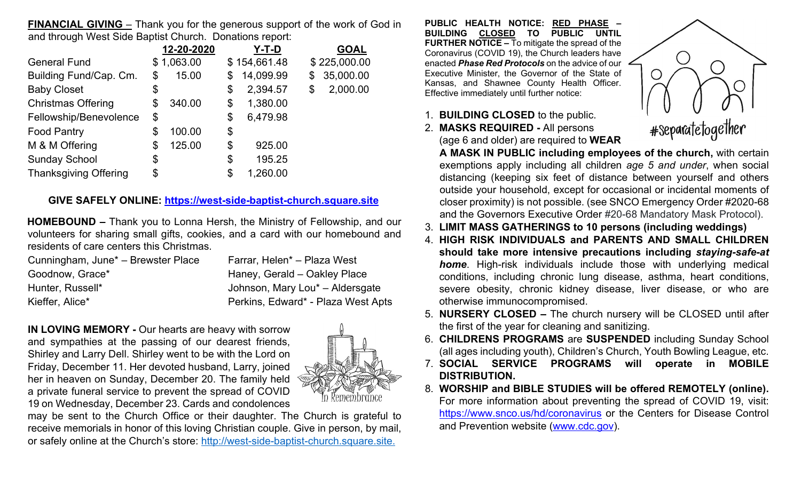**FINANCIAL GIVING** – Thank you for the generous support of the work of God in and through West Side Baptist Church. Donations report:

|                              | 12-20-2020   | Y-T-D           | <b>GOAL</b>     |
|------------------------------|--------------|-----------------|-----------------|
| <b>General Fund</b>          | \$1,063.00   | \$154,661.48    | \$225,000.00    |
| Building Fund/Cap. Cm.       | \$<br>15.00  | \$<br>14,099.99 | \$<br>35,000.00 |
| <b>Baby Closet</b>           | \$           | \$<br>2,394.57  | \$<br>2,000.00  |
| <b>Christmas Offering</b>    | \$<br>340.00 | \$<br>1,380.00  |                 |
| Fellowship/Benevolence       | \$           | \$<br>6,479.98  |                 |
| <b>Food Pantry</b>           | \$<br>100.00 | \$              |                 |
| M & M Offering               | \$<br>125.00 | \$<br>925.00    |                 |
| <b>Sunday School</b>         | \$           | \$<br>195.25    |                 |
| <b>Thanksgiving Offering</b> | \$           | \$<br>1,260.00  |                 |

#### **GIVE SAFELY ONLINE: [https://west-side-baptist-church.square.site](https://west-side-baptist-church.square.site/)**

**HOMEBOUND –** Thank you to Lonna Hersh, the Ministry of Fellowship, and our volunteers for sharing small gifts, cookies, and a card with our homebound and residents of care centers this Christmas.

| Cunningham, June <sup>*</sup> – Brewster Place | Farrar, Helen <sup>*</sup> – Plaza West     |
|------------------------------------------------|---------------------------------------------|
| Goodnow, Grace*                                | Haney, Gerald - Oakley Place                |
| Hunter, Russell*                               | Johnson, Mary Lou <sup>*</sup> - Aldersgate |
| Kieffer, Alice*                                | Perkins, Edward* - Plaza West Apts          |

**IN LOVING MEMORY -** Our hearts are heavy with sorrow and sympathies at the passing of our dearest friends, Shirley and Larry Dell. Shirley went to be with the Lord on Friday, December 11. Her devoted husband, Larry, joined her in heaven on Sunday, December 20. The family held a private funeral service to prevent the spread of COVID 19 on Wednesday, December 23. Cards and condolences



may be sent to the Church Office or their daughter. The Church is grateful to receive memorials in honor of this loving Christian couple. Give in person, by mail, or safely online at the Church's store: [http://west-side-baptist-church.square.site.](https://west-side-baptist-church.square.site/?fbclid=IwAR0OyNdIhxVhOtwDo_4M3EohIVjkxfvw_28KDYG7MSEgx8MonskizwxrmKQ)

**PUBLIC HEALTH NOTICE: RED PHASE – BUILDING CLOSED TO PUBLIC UNTIL FURTHER NOTICE –** To mitigate the spread of the Coronavirus (COVID 19), the Church leaders have enacted *Phase Red Protocols* on the advice of our Executive Minister, the Governor of the State of Kansas, and Shawnee County Health Officer. Effective immediately until further notice:

- 1. **BUILDING CLOSED** to the public.
- 2. **MASKS REQUIRED -** All persons (age 6 and older) are required to **WEAR**



**A MASK IN PUBLIC including employees of the church,** with certain exemptions apply including all children *age 5 and under*, when social distancing (keeping six feet of distance between yourself and others outside your household, except for occasional or incidental moments of closer proximity) is not possible. (see SNCO Emergency Order #2020-68 and the Governors Executive Order #20-68 Mandatory Mask Protocol).

- 3. **LIMIT MASS GATHERINGS to 10 persons (including weddings)**
- 4. **HIGH RISK INDIVIDUALS and PARENTS AND SMALL CHILDREN should take more intensive precautions including** *staying-safe-at home*. High-risk individuals include those with underlying medical conditions, including chronic lung disease, asthma, heart conditions, severe obesity, chronic kidney disease, liver disease, or who are otherwise immunocompromised.
- 5. **NURSERY CLOSED –** The church nursery will be CLOSED until after the first of the year for cleaning and sanitizing.
- 6. **CHILDRENS PROGRAMS** are **SUSPENDED** including Sunday School (all ages including youth), Children's Church, Youth Bowling League, etc.
- 7. **SOCIAL SERVICE PROGRAMS will operate in MOBILE DISTRIBUTION.**
- 8. **WORSHIP and BIBLE STUDIES will be offered REMOTELY (online).**  For more information about preventing the spread of COVID 19, visit: <https://www.snco.us/hd/coronavirus> [o](https://www.snco.us/hd/coronavirus)r the Centers for Disease Control and Prevention website [\(www.cdc.gov\).](http://www.cdc.gov/)